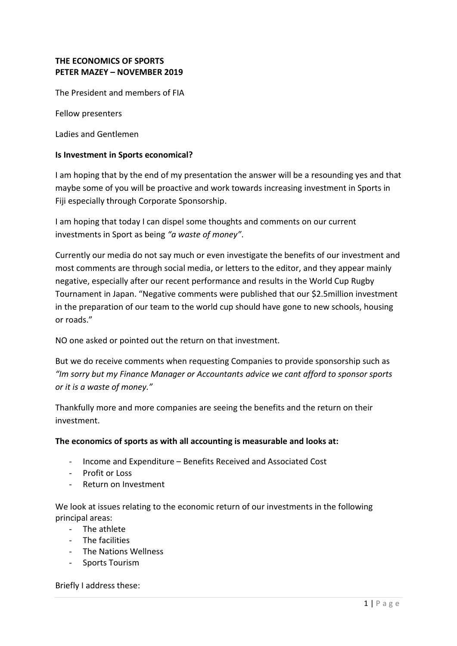# **THE ECONOMICS OF SPORTS PETER MAZEY – NOVEMBER 2019**

The President and members of FIA

Fellow presenters

Ladies and Gentlemen

#### **Is Investment in Sports economical?**

I am hoping that by the end of my presentation the answer will be a resounding yes and that maybe some of you will be proactive and work towards increasing investment in Sports in Fiji especially through Corporate Sponsorship.

I am hoping that today I can dispel some thoughts and comments on our current investments in Sport as being *"a waste of money"*.

Currently our media do not say much or even investigate the benefits of our investment and most comments are through social media, or letters to the editor, and they appear mainly negative, especially after our recent performance and results in the World Cup Rugby Tournament in Japan. "Negative comments were published that our \$2.5million investment in the preparation of our team to the world cup should have gone to new schools, housing or roads."

NO one asked or pointed out the return on that investment.

But we do receive comments when requesting Companies to provide sponsorship such as *"Im sorry but my Finance Manager or Accountants advice we cant afford to sponsor sports or it is a waste of money."*

Thankfully more and more companies are seeing the benefits and the return on their investment.

#### **The economics of sports as with all accounting is measurable and looks at:**

- Income and Expenditure Benefits Received and Associated Cost
- Profit or Loss
- Return on Investment

We look at issues relating to the economic return of our investments in the following principal areas:

- The athlete
- The facilities
- The Nations Wellness
- Sports Tourism

Briefly I address these: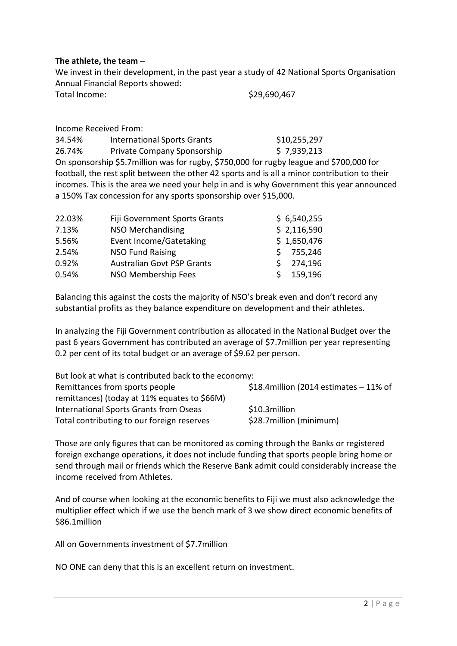#### **The athlete, the team –**

We invest in their development, in the past year a study of 42 National Sports Organisation Annual Financial Reports showed:

| Total Income: | \$29,690,467 |
|---------------|--------------|
|               |              |

Income Received From:

34.54% International Sports Grants \$10,255,297 26.74% Private Company Sponsorship \$7,939,213 On sponsorship \$5.7million was for rugby, \$750,000 for rugby league and \$700,000 for football, the rest split between the other 42 sports and is all a minor contribution to their incomes. This is the area we need your help in and is why Government this year announced a 150% Tax concession for any sports sponsorship over \$15,000.

| 22.03% | Fiji Government Sports Grants     |    | \$6,540,255 |
|--------|-----------------------------------|----|-------------|
| 7.13%  | <b>NSO Merchandising</b>          |    | \$2,116,590 |
| 5.56%  | Event Income/Gatetaking           |    | \$1,650,476 |
| 2.54%  | <b>NSO Fund Raising</b>           | S. | 755,246     |
| 0.92%  | <b>Australian Govt PSP Grants</b> |    | 274,196     |
| 0.54%  | NSO Membership Fees               | S. | 159,196     |

Balancing this against the costs the majority of NSO's break even and don't record any substantial profits as they balance expenditure on development and their athletes.

In analyzing the Fiji Government contribution as allocated in the National Budget over the past 6 years Government has contributed an average of \$7.7million per year representing 0.2 per cent of its total budget or an average of \$9.62 per person.

| But look at what is contributed back to the economy: |                                           |
|------------------------------------------------------|-------------------------------------------|
| Remittances from sports people                       | \$18.4 million (2014 estimates $-11\%$ of |
| remittances) (today at 11% equates to \$66M)         |                                           |
| International Sports Grants from Oseas               | \$10.3million                             |
| Total contributing to our foreign reserves           | \$28.7 million (minimum)                  |

Those are only figures that can be monitored as coming through the Banks or registered foreign exchange operations, it does not include funding that sports people bring home or send through mail or friends which the Reserve Bank admit could considerably increase the income received from Athletes.

And of course when looking at the economic benefits to Fiji we must also acknowledge the multiplier effect which if we use the bench mark of 3 we show direct economic benefits of \$86.1million

All on Governments investment of \$7.7million

NO ONE can deny that this is an excellent return on investment.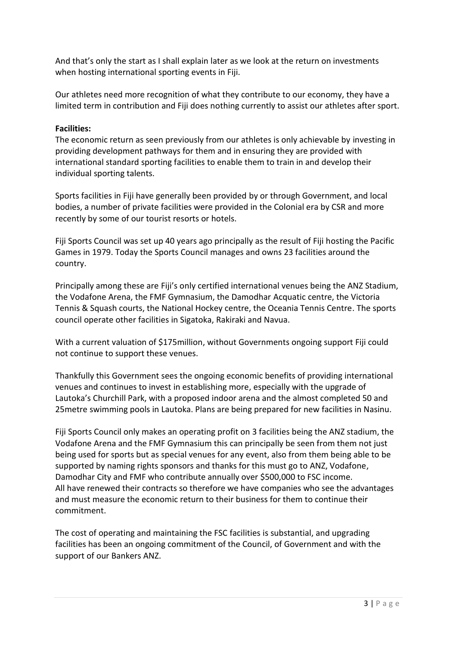And that's only the start as I shall explain later as we look at the return on investments when hosting international sporting events in Fiji.

Our athletes need more recognition of what they contribute to our economy, they have a limited term in contribution and Fiji does nothing currently to assist our athletes after sport.

# **Facilities:**

The economic return as seen previously from our athletes is only achievable by investing in providing development pathways for them and in ensuring they are provided with international standard sporting facilities to enable them to train in and develop their individual sporting talents.

Sports facilities in Fiji have generally been provided by or through Government, and local bodies, a number of private facilities were provided in the Colonial era by CSR and more recently by some of our tourist resorts or hotels.

Fiji Sports Council was set up 40 years ago principally as the result of Fiji hosting the Pacific Games in 1979. Today the Sports Council manages and owns 23 facilities around the country.

Principally among these are Fiji's only certified international venues being the ANZ Stadium, the Vodafone Arena, the FMF Gymnasium, the Damodhar Acquatic centre, the Victoria Tennis & Squash courts, the National Hockey centre, the Oceania Tennis Centre. The sports council operate other facilities in Sigatoka, Rakiraki and Navua.

With a current valuation of \$175million, without Governments ongoing support Fiji could not continue to support these venues.

Thankfully this Government sees the ongoing economic benefits of providing international venues and continues to invest in establishing more, especially with the upgrade of Lautoka's Churchill Park, with a proposed indoor arena and the almost completed 50 and 25metre swimming pools in Lautoka. Plans are being prepared for new facilities in Nasinu.

Fiji Sports Council only makes an operating profit on 3 facilities being the ANZ stadium, the Vodafone Arena and the FMF Gymnasium this can principally be seen from them not just being used for sports but as special venues for any event, also from them being able to be supported by naming rights sponsors and thanks for this must go to ANZ, Vodafone, Damodhar City and FMF who contribute annually over \$500,000 to FSC income. All have renewed their contracts so therefore we have companies who see the advantages and must measure the economic return to their business for them to continue their commitment.

The cost of operating and maintaining the FSC facilities is substantial, and upgrading facilities has been an ongoing commitment of the Council, of Government and with the support of our Bankers ANZ.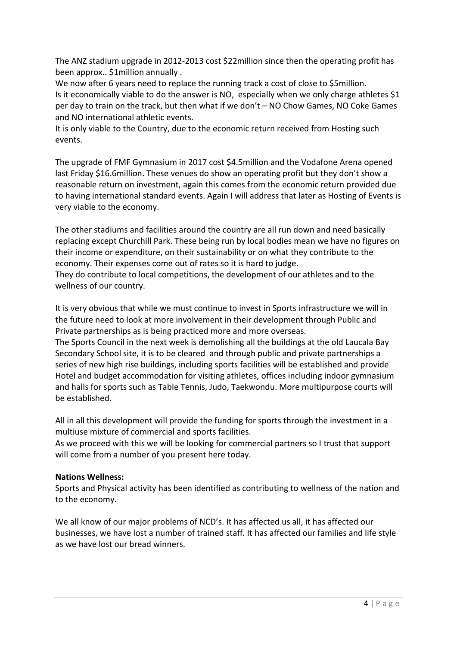The ANZ stadium upgrade in 2012-2013 cost \$22million since then the operating profit has been approx.. \$1million annually .

We now after 6 years need to replace the running track a cost of close to \$5million. Is it economically viable to do the answer is NO, especially when we only charge athletes \$1 per day to train on the track, but then what if we don't – NO Chow Games, NO Coke Games and NO international athletic events.

It is only viable to the Country, due to the economic return received from Hosting such events.

The upgrade of FMF Gymnasium in 2017 cost \$4.5million and the Vodafone Arena opened last Friday \$16.6million. These venues do show an operating profit but they don't show a reasonable return on investment, again this comes from the economic return provided due to having international standard events. Again I will address that later as Hosting of Events is very viable to the economy.

The other stadiums and facilities around the country are all run down and need basically replacing except Churchill Park. These being run by local bodies mean we have no figures on their income or expenditure, on their sustainability or on what they contribute to the economy. Their expenses come out of rates so it is hard to judge. They do contribute to local competitions, the development of our athletes and to the wellness of our country.

It is very obvious that while we must continue to invest in Sports infrastructure we will in the future need to look at more involvement in their development through Public and Private partnerships as is being practiced more and more overseas.

The Sports Council in the next week is demolishing all the buildings at the old Laucala Bay Secondary School site, it is to be cleared and through public and private partnerships a series of new high rise buildings, including sports facilities will be established and provide Hotel and budget accommodation for visiting athletes, offices including indoor gymnasium and halls for sports such as Table Tennis, Judo, Taekwondu. More multipurpose courts will be established.

All in all this development will provide the funding for sports through the investment in a multiuse mixture of commercial and sports facilities.

As we proceed with this we will be looking for commercial partners so I trust that support will come from a number of you present here today.

# **Nations Wellness:**

Sports and Physical activity has been identified as contributing to wellness of the nation and to the economy.

We all know of our major problems of NCD's. It has affected us all, it has affected our businesses, we have lost a number of trained staff. It has affected our families and life style as we have lost our bread winners.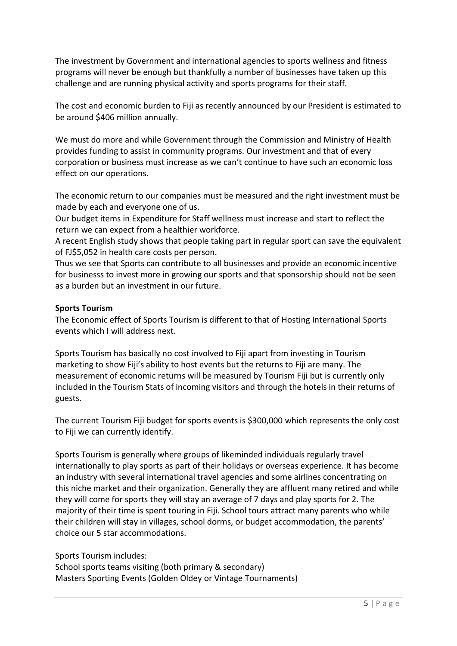The investment by Government and international agencies to sports wellness and fitness programs will never be enough but thankfully a number of businesses have taken up this challenge and are running physical activity and sports programs for their staff.

The cost and economic burden to Fiji as recently announced by our President is estimated to be around \$406 million annually.

We must do more and while Government through the Commission and Ministry of Health provides funding to assist in community programs. Our investment and that of every corporation or business must increase as we can't continue to have such an economic loss effect on our operations.

The economic return to our companies must be measured and the right investment must be made by each and everyone one of us.

Our budget items in Expenditure for Staff wellness must increase and start to reflect the return we can expect from a healthier workforce.

A recent English study shows that people taking part in regular sport can save the equivalent of FJ\$5,052 in health care costs per person.

Thus we see that Sports can contribute to all businesses and provide an economic incentive for businesss to invest more in growing our sports and that sponsorship should not be seen as a burden but an investment in our future.

# **Sports Tourism**

The Economic effect of Sports Tourism is different to that of Hosting International Sports events which I will address next.

Sports Tourism has basically no cost involved to Fiji apart from investing in Tourism marketing to show Fiji's ability to host events but the returns to Fiji are many. The measurement of economic returns will be measured by Tourism Fiji but is currently only included in the Tourism Stats of incoming visitors and through the hotels in their returns of guests.

The current Tourism Fiji budget for sports events is \$300,000 which represents the only cost to Fiji we can currently identify.

Sports Tourism is generally where groups of likeminded individuals regularly travel internationally to play sports as part of their holidays or overseas experience. It has become an industry with several international travel agencies and some airlines concentrating on this niche market and their organization. Generally they are affluent many retired and while they will come for sports they will stay an average of 7 days and play sports for 2. The majority of their time is spent touring in Fiji. School tours attract many parents who while their children will stay in villages, school dorms, or budget accommodation, the parents' choice our 5 star accommodations.

Sports Tourism includes:

School sports teams visiting (both primary & secondary) Masters Sporting Events (Golden Oldey or Vintage Tournaments)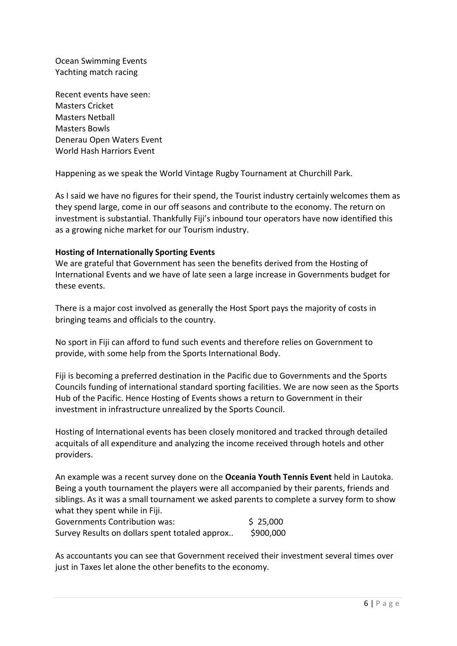Ocean Swimming Events Yachting match racing

Recent events have seen: Masters Cricket Masters Netball Masters Bowls Denerau Open Waters Event World Hash Harriors Event

Happening as we speak the World Vintage Rugby Tournament at Churchill Park.

As I said we have no figures for their spend, the Tourist industry certainly welcomes them as they spend large, come in our off seasons and contribute to the economy. The return on investment is substantial. Thankfully Fiji's inbound tour operators have now identified this as a growing niche market for our Tourism industry.

#### **Hosting of Internationally Sporting Events**

We are grateful that Government has seen the benefits derived from the Hosting of International Events and we have of late seen a large increase in Governments budget for these events.

There is a major cost involved as generally the Host Sport pays the majority of costs in bringing teams and officials to the country.

No sport in Fiji can afford to fund such events and therefore relies on Government to provide, with some help from the Sports International Body.

Fiji is becoming a preferred destination in the Pacific due to Governments and the Sports Councils funding of international standard sporting facilities. We are now seen as the Sports Hub of the Pacific. Hence Hosting of Events shows a return to Government in their investment in infrastructure unrealized by the Sports Council.

Hosting of International events has been closely monitored and tracked through detailed acquitals of all expenditure and analyzing the income received through hotels and other providers.

An example was a recent survey done on the **Oceania Youth Tennis Event** held in Lautoka. Being a youth tournament the players were all accompanied by their parents, friends and siblings. As it was a small tournament we asked parents to complete a survey form to show what they spent while in Fiji.

| <b>Governments Contribution was:</b>           | \$25,000  |
|------------------------------------------------|-----------|
| Survey Results on dollars spent totaled approx | \$900,000 |

As accountants you can see that Government received their investment several times over just in Taxes let alone the other benefits to the economy.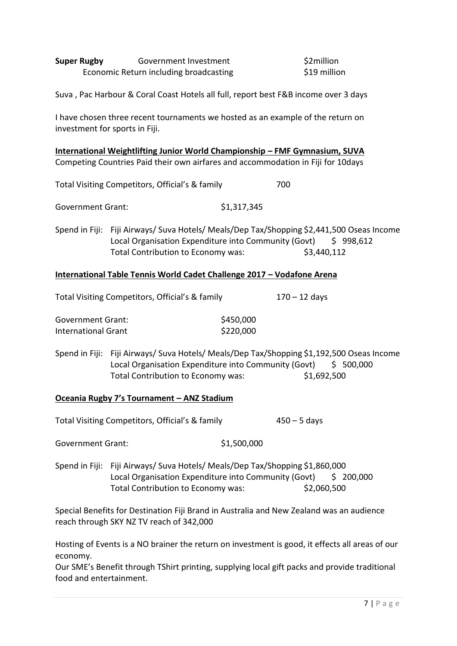| <b>Super Rugby</b>                                                                                                                                                            | Government Investment<br>Economic Return including broadcasting                                                                                                                         |                        | \$2million<br>\$19 million |  |  |  |
|-------------------------------------------------------------------------------------------------------------------------------------------------------------------------------|-----------------------------------------------------------------------------------------------------------------------------------------------------------------------------------------|------------------------|----------------------------|--|--|--|
| Suva, Pac Harbour & Coral Coast Hotels all full, report best F&B income over 3 days                                                                                           |                                                                                                                                                                                         |                        |                            |  |  |  |
| I have chosen three recent tournaments we hosted as an example of the return on<br>investment for sports in Fiji.                                                             |                                                                                                                                                                                         |                        |                            |  |  |  |
| <u><b>International Weightlifting Junior World Championship - FMF Gymnasium, SUVA</b></u><br>Competing Countries Paid their own airfares and accommodation in Fiji for 10days |                                                                                                                                                                                         |                        |                            |  |  |  |
|                                                                                                                                                                               | Total Visiting Competitors, Official's & family                                                                                                                                         | 700                    |                            |  |  |  |
| <b>Government Grant:</b>                                                                                                                                                      |                                                                                                                                                                                         | \$1,317,345            |                            |  |  |  |
|                                                                                                                                                                               | Spend in Fiji: Fiji Airways/ Suva Hotels/ Meals/Dep Tax/Shopping \$2,441,500 Oseas Income<br>Local Organisation Expenditure into Community (Govt)<br>Total Contribution to Economy was: |                        | \$998,612<br>\$3,440,112   |  |  |  |
|                                                                                                                                                                               | International Table Tennis World Cadet Challenge 2017 - Vodafone Arena                                                                                                                  |                        |                            |  |  |  |
| Total Visiting Competitors, Official's & family<br>$170 - 12$ days                                                                                                            |                                                                                                                                                                                         |                        |                            |  |  |  |
| <b>Government Grant:</b><br><b>International Grant</b>                                                                                                                        |                                                                                                                                                                                         | \$450,000<br>\$220,000 |                            |  |  |  |
|                                                                                                                                                                               | Spend in Fiji: Fiji Airways/ Suva Hotels/ Meals/Dep Tax/Shopping \$1,192,500 Oseas Income<br>Local Organisation Expenditure into Community (Govt)<br>Total Contribution to Economy was: |                        | \$500,000<br>\$1,692,500   |  |  |  |
| Oceania Rugby 7's Tournament - ANZ Stadium                                                                                                                                    |                                                                                                                                                                                         |                        |                            |  |  |  |
|                                                                                                                                                                               | Total Visiting Competitors, Official's & family                                                                                                                                         |                        | $450 - 5$ days             |  |  |  |
| <b>Government Grant:</b>                                                                                                                                                      |                                                                                                                                                                                         | \$1,500,000            |                            |  |  |  |
| Spend in Fiji:                                                                                                                                                                | Fiji Airways/ Suva Hotels/ Meals/Dep Tax/Shopping \$1,860,000<br>Local Organisation Expenditure into Community (Govt)<br>Total Contribution to Economy was:                             |                        | \$200,000<br>\$2,060,500   |  |  |  |

Special Benefits for Destination Fiji Brand in Australia and New Zealand was an audience reach through SKY NZ TV reach of 342,000

Hosting of Events is a NO brainer the return on investment is good, it effects all areas of our economy.

Our SME's Benefit through TShirt printing, supplying local gift packs and provide traditional food and entertainment.